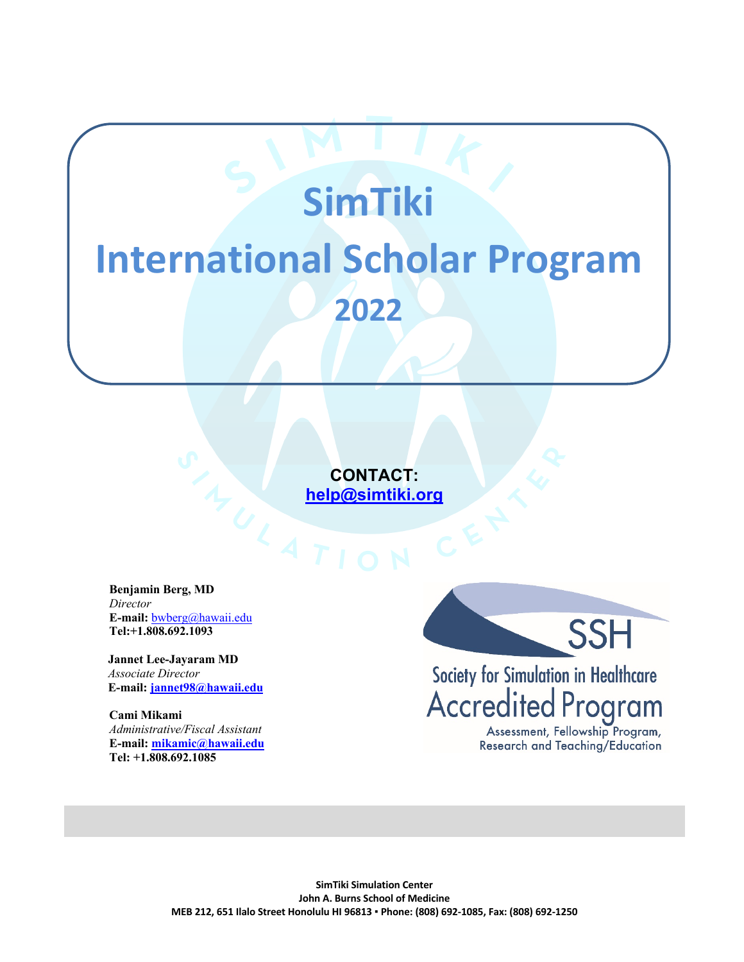# **SimTiki International Scholar Program 2022**

**CONTACT:**<br> **<u>help@simtiki.org</u><br>
FION help@simtiki.org**

**Benjamin Berg, MD** *Director* **E-mail:** bwberg@hawaii.edu **Tel:+1.808.692.1093**

 **Jannet Lee-Jayaram MD**   *Associate Director*  **E-mail: jannet98@hawaii.edu**

**Cami Mikami** *Administrative/Fiscal Assistant* **E-mail: mikamic@hawaii.edu Tel: +1.808.692.1085**



Society for Simulation in Healthcare<br>Accredited Program

Assessment, Fellowship Program, Research and Teaching/Education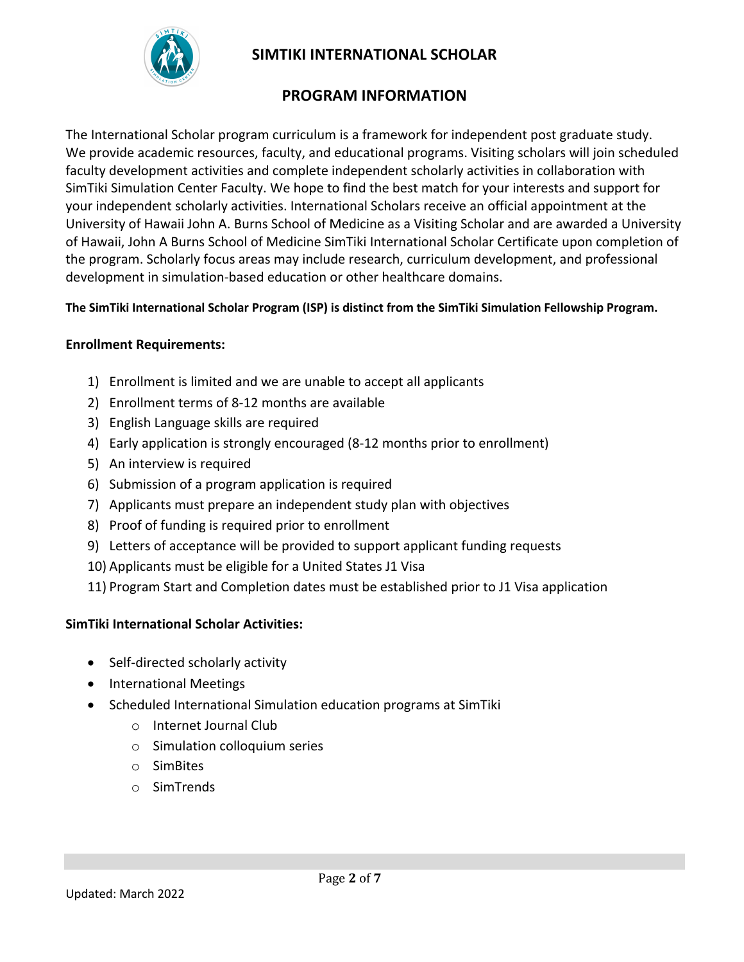

#### **PROGRAM INFORMATION**

The International Scholar program curriculum is a framework for independent post graduate study. We provide academic resources, faculty, and educational programs. Visiting scholars will join scheduled faculty development activities and complete independent scholarly activities in collaboration with SimTiki Simulation Center Faculty. We hope to find the best match for your interests and support for your independent scholarly activities. International Scholars receive an official appointment at the University of Hawaii John A. Burns School of Medicine as a Visiting Scholar and are awarded a University of Hawaii, John A Burns School of Medicine SimTiki International Scholar Certificate upon completion of the program. Scholarly focus areas may include research, curriculum development, and professional development in simulation-based education or other healthcare domains.

#### **The SimTiki International Scholar Program (ISP) is distinct from the SimTiki Simulation Fellowship Program.**

#### **Enrollment Requirements:**

- 1) Enrollment is limited and we are unable to accept all applicants
- 2) Enrollment terms of 8-12 months are available
- 3) English Language skills are required
- 4) Early application is strongly encouraged (8-12 months prior to enrollment)
- 5) An interview is required
- 6) Submission of a program application is required
- 7) Applicants must prepare an independent study plan with objectives
- 8) Proof of funding is required prior to enrollment
- 9) Letters of acceptance will be provided to support applicant funding requests
- 10) Applicants must be eligible for a United States J1 Visa
- 11) Program Start and Completion dates must be established prior to J1 Visa application

#### **SimTiki International Scholar Activities:**

- Self-directed scholarly activity
- International Meetings
- Scheduled International Simulation education programs at SimTiki
	- o Internet Journal Club
	- o Simulation colloquium series
	- o SimBites
	- o SimTrends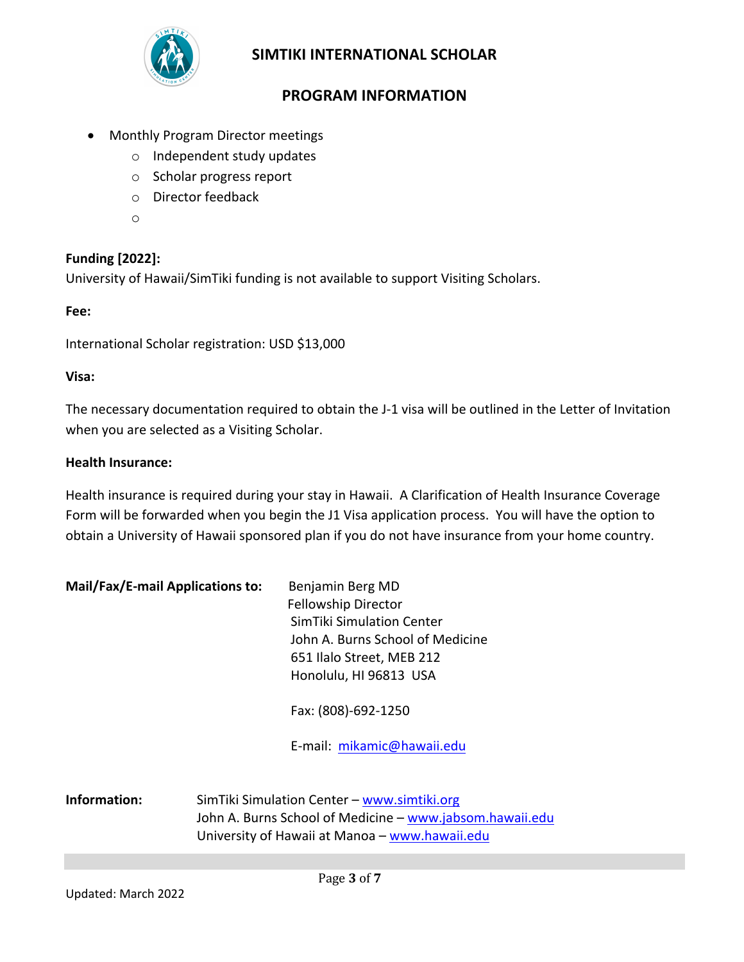

# **PROGRAM INFORMATION**

- Monthly Program Director meetings
	- o Independent study updates
	- o Scholar progress report
	- o Director feedback
	- o

#### **Funding [2022]:**

University of Hawaii/SimTiki funding is not available to support Visiting Scholars.

#### **Fee:**

International Scholar registration: USD \$13,000

#### **Visa:**

The necessary documentation required to obtain the J-1 visa will be outlined in the Letter of Invitation when you are selected as a Visiting Scholar.

#### **Health Insurance:**

Health insurance is required during your stay in Hawaii. A Clarification of Health Insurance Coverage Form will be forwarded when you begin the J1 Visa application process. You will have the option to obtain a University of Hawaii sponsored plan if you do not have insurance from your home country.

| Mail/Fax/E-mail Applications to: | Benjamin Berg MD                 |
|----------------------------------|----------------------------------|
|                                  | <b>Fellowship Director</b>       |
|                                  | SimTiki Simulation Center        |
|                                  | John A. Burns School of Medicine |
|                                  | 651 Ilalo Street, MEB 212        |
|                                  | Honolulu, HI 96813 USA           |

Fax: (808)-692-1250

E-mail: mikamic@hawaii.edu

**Information:** SimTiki Simulation Center – www.simtiki.org John A. Burns School of Medicine - www.jabsom.hawaii.edu University of Hawaii at Manoa – www.hawaii.edu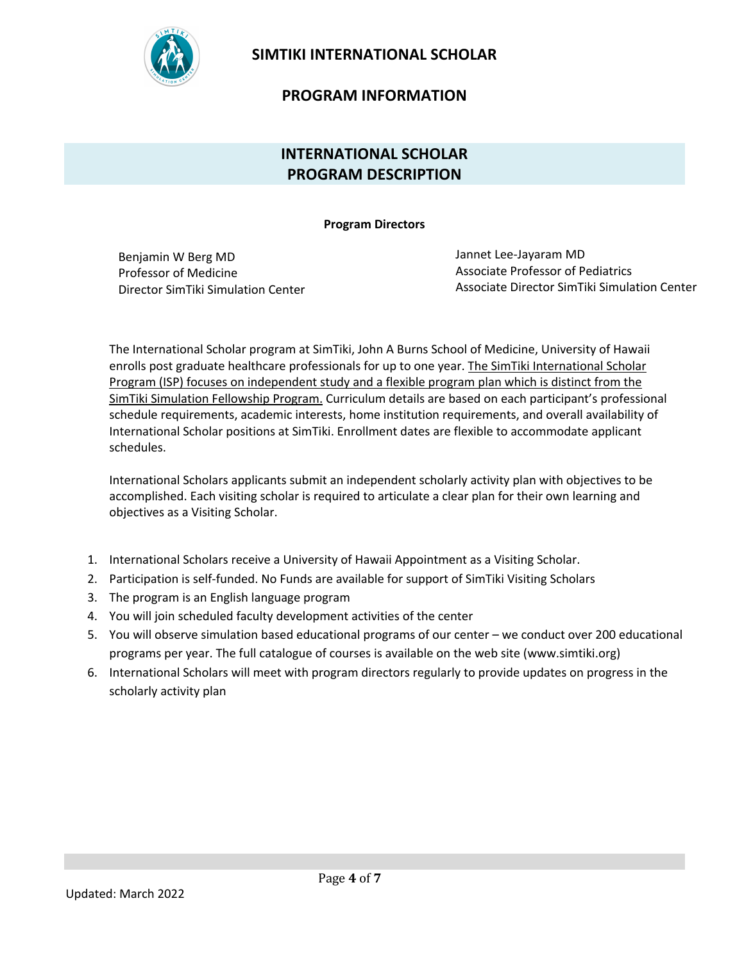

#### **PROGRAM INFORMATION**

# **INTERNATIONAL SCHOLAR PROGRAM DESCRIPTION**

**Program Directors**

Benjamin W Berg MD Professor of Medicine Director SimTiki Simulation Center Jannet Lee-Jayaram MD Associate Professor of Pediatrics Associate Director SimTiki Simulation Center

The International Scholar program at SimTiki, John A Burns School of Medicine, University of Hawaii enrolls post graduate healthcare professionals for up to one year. The SimTiki International Scholar Program (ISP) focuses on independent study and a flexible program plan which is distinct from the SimTiki Simulation Fellowship Program. Curriculum details are based on each participant's professional schedule requirements, academic interests, home institution requirements, and overall availability of International Scholar positions at SimTiki. Enrollment dates are flexible to accommodate applicant schedules.

International Scholars applicants submit an independent scholarly activity plan with objectives to be accomplished. Each visiting scholar is required to articulate a clear plan for their own learning and objectives as a Visiting Scholar.

- 1. International Scholars receive a University of Hawaii Appointment as a Visiting Scholar.
- 2. Participation is self-funded. No Funds are available for support of SimTiki Visiting Scholars
- 3. The program is an English language program
- 4. You will join scheduled faculty development activities of the center
- 5. You will observe simulation based educational programs of our center we conduct over 200 educational programs per year. The full catalogue of courses is available on the web site (www.simtiki.org)
- 6. International Scholars will meet with program directors regularly to provide updates on progress in the scholarly activity plan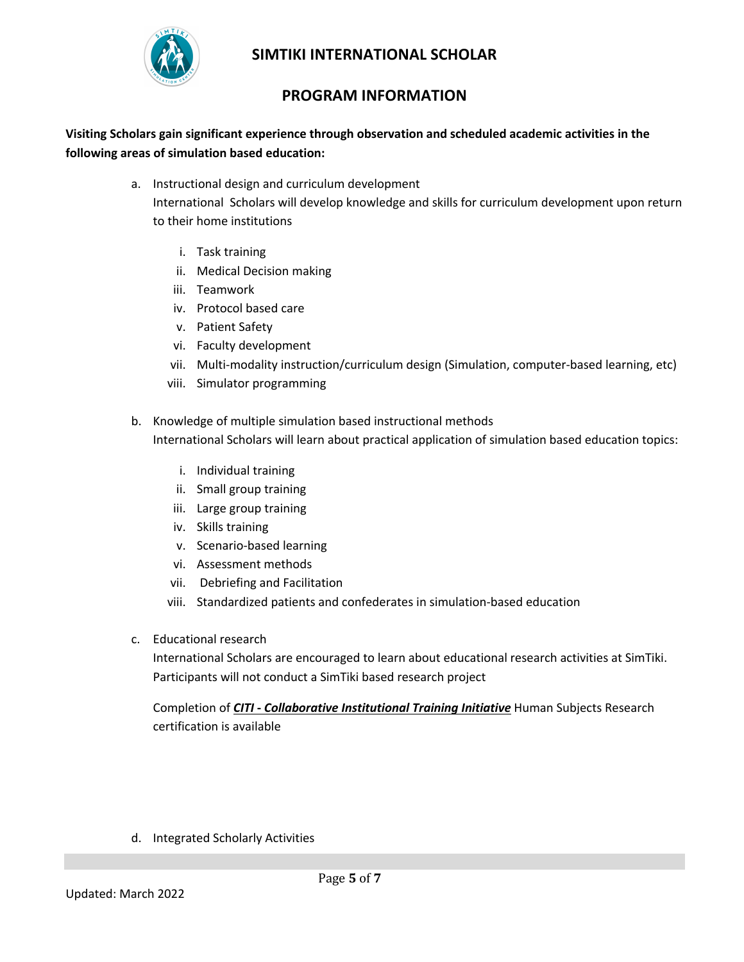

#### **PROGRAM INFORMATION**

**Visiting Scholars gain significant experience through observation and scheduled academic activities in the following areas of simulation based education:**

- a. Instructional design and curriculum development International Scholars will develop knowledge and skills for curriculum development upon return to their home institutions
	- i. Task training
	- ii. Medical Decision making
	- iii. Teamwork
	- iv. Protocol based care
	- v. Patient Safety
	- vi. Faculty development
	- vii. Multi-modality instruction/curriculum design (Simulation, computer-based learning, etc)
	- viii. Simulator programming
- b. Knowledge of multiple simulation based instructional methods International Scholars will learn about practical application of simulation based education topics:
	- i. Individual training
	- ii. Small group training
	- iii. Large group training
	- iv. Skills training
	- v. Scenario-based learning
	- vi. Assessment methods
	- vii. Debriefing and Facilitation
	- viii. Standardized patients and confederates in simulation-based education
- c. Educational research

International Scholars are encouraged to learn about educational research activities at SimTiki. Participants will not conduct a SimTiki based research project

Completion of *CITI* **-** *Collaborative Institutional Training Initiative* Human Subjects Research certification is available

d. Integrated Scholarly Activities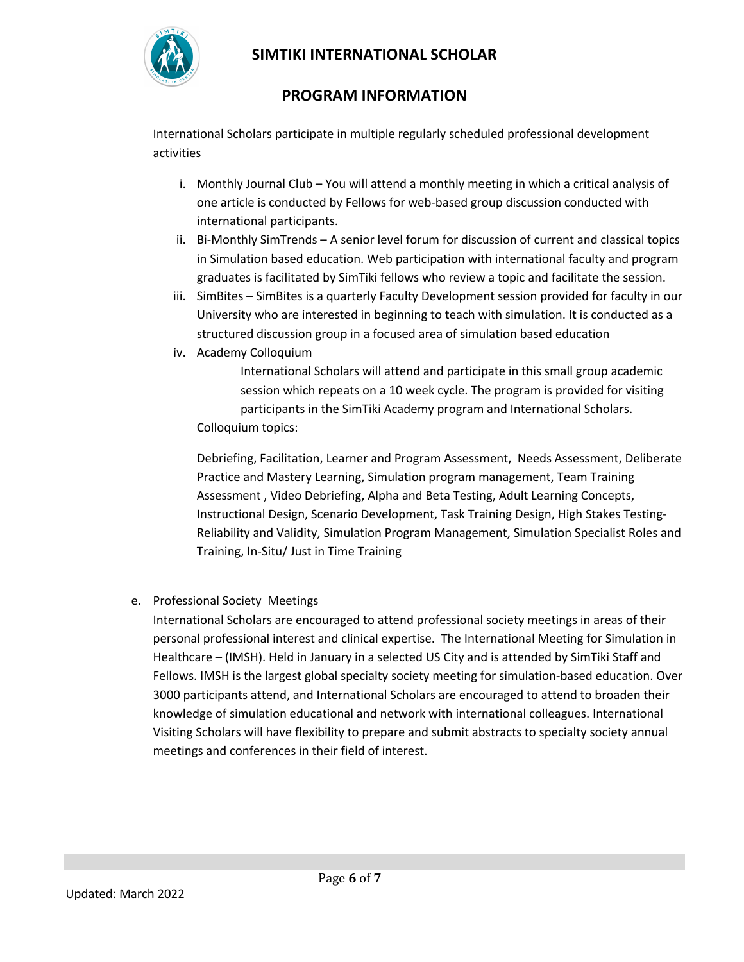

# **PROGRAM INFORMATION**

International Scholars participate in multiple regularly scheduled professional development activities

- i. Monthly Journal Club You will attend a monthly meeting in which a critical analysis of one article is conducted by Fellows for web-based group discussion conducted with international participants.
- ii. Bi-Monthly SimTrends A senior level forum for discussion of current and classical topics in Simulation based education. Web participation with international faculty and program graduates is facilitated by SimTiki fellows who review a topic and facilitate the session.
- iii. SimBites SimBites is a quarterly Faculty Development session provided for faculty in our University who are interested in beginning to teach with simulation. It is conducted as a structured discussion group in a focused area of simulation based education
- iv. Academy Colloquium

International Scholars will attend and participate in this small group academic session which repeats on a 10 week cycle. The program is provided for visiting participants in the SimTiki Academy program and International Scholars. Colloquium topics:

Debriefing, Facilitation, Learner and Program Assessment, Needs Assessment, Deliberate Practice and Mastery Learning, Simulation program management, Team Training Assessment , Video Debriefing, Alpha and Beta Testing, Adult Learning Concepts, Instructional Design, Scenario Development, Task Training Design, High Stakes Testing-Reliability and Validity, Simulation Program Management, Simulation Specialist Roles and Training, In-Situ/ Just in Time Training

#### e. Professional Society Meetings

International Scholars are encouraged to attend professional society meetings in areas of their personal professional interest and clinical expertise. The International Meeting for Simulation in Healthcare – (IMSH). Held in January in a selected US City and is attended by SimTiki Staff and Fellows. IMSH is the largest global specialty society meeting for simulation-based education. Over 3000 participants attend, and International Scholars are encouraged to attend to broaden their knowledge of simulation educational and network with international colleagues. International Visiting Scholars will have flexibility to prepare and submit abstracts to specialty society annual meetings and conferences in their field of interest.